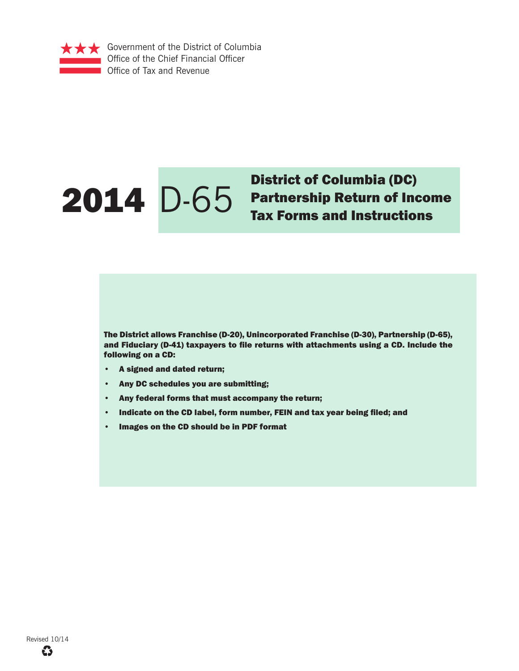

# District of Columbia (DC)<br>
2014 D-65 Partnership Return of Increase of Lax Forms and Instruction

Partnership Return of Income Tax Forms and Instructions

The District allows Franchise (D-20), Unincorporated Franchise (D-30), Partnership (D-65), and Fiduciary (D-41) taxpayers to file returns with attachments using a CD. Include the following on a CD:

- A signed and dated return;
- Any DC schedules you are submitting;
- Any federal forms that must accompany the return;
- Indicate on the CD label, form number, FEIN and tax year being filed; and
- Images on the CD should be in PDF format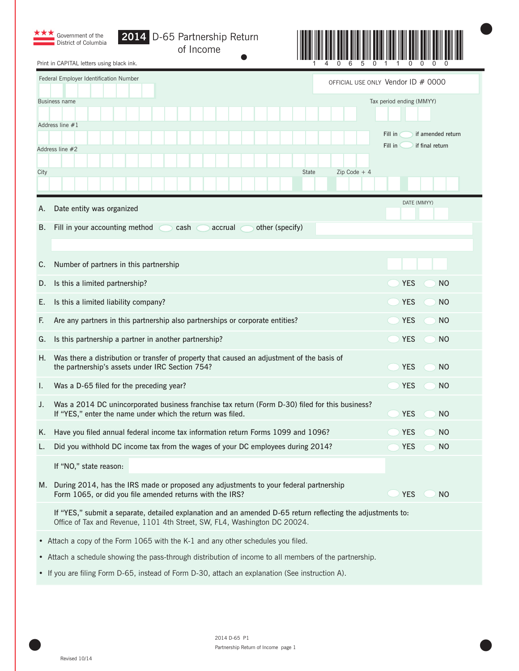| Government of the<br>District of Columbia<br>Print in CAPITAL letters using black ink.                                                                                         | D-65 Partnership Return<br>of Income                                                                                                                                                     |                                |                                                            |
|--------------------------------------------------------------------------------------------------------------------------------------------------------------------------------|------------------------------------------------------------------------------------------------------------------------------------------------------------------------------------------|--------------------------------|------------------------------------------------------------|
| Federal Employer Identification Number                                                                                                                                         |                                                                                                                                                                                          |                                | OFFICIAL USE ONLY Vendor ID # 0000                         |
| Business name                                                                                                                                                                  |                                                                                                                                                                                          |                                | Tax period ending (MMYY)                                   |
| Address line $#1$<br>Address line #2                                                                                                                                           |                                                                                                                                                                                          |                                | Fill in<br>if amended return<br>Fill in<br>if final return |
| City                                                                                                                                                                           |                                                                                                                                                                                          | <b>State</b><br>$Zip Code + 4$ |                                                            |
| Date entity was organized<br>Α.                                                                                                                                                |                                                                                                                                                                                          |                                | DATE (MMYY)                                                |
| Fill in your accounting method<br>В.                                                                                                                                           | other (specify)<br>cash<br>accrual                                                                                                                                                       |                                |                                                            |
| Number of partners in this partnership<br>C.                                                                                                                                   |                                                                                                                                                                                          |                                |                                                            |
| Is this a limited partnership?<br>D.                                                                                                                                           |                                                                                                                                                                                          |                                | <b>YES</b><br>N <sub>O</sub>                               |
| Is this a limited liability company?<br>Ε.                                                                                                                                     |                                                                                                                                                                                          |                                | <b>YES</b><br>N <sub>O</sub>                               |
| F.                                                                                                                                                                             | Are any partners in this partnership also partnerships or corporate entities?                                                                                                            |                                | <b>YES</b><br>N <sub>O</sub>                               |
| Is this partnership a partner in another partnership?<br>G.                                                                                                                    |                                                                                                                                                                                          |                                | <b>YES</b><br>N <sub>O</sub>                               |
| Η.<br>the partnership's assets under IRC Section 754?                                                                                                                          | Was there a distribution or transfer of property that caused an adjustment of the basis of                                                                                               |                                | <b>YES</b><br>N <sub>O</sub>                               |
| Was a D-65 filed for the preceding year?<br>ı.                                                                                                                                 |                                                                                                                                                                                          |                                | YES<br>NO                                                  |
| J.<br>If "YES," enter the name under which the return was filed.                                                                                                               | Was a 2014 DC unincorporated business franchise tax return (Form D-30) filed for this business?                                                                                          |                                | <b>YES</b><br>N <sub>O</sub>                               |
| K.                                                                                                                                                                             | Have you filed annual federal income tax information return Forms 1099 and 1096?                                                                                                         |                                | <b>YES</b><br><b>NO</b>                                    |
| L.                                                                                                                                                                             | Did you withhold DC income tax from the wages of your DC employees during 2014?                                                                                                          |                                | <b>YES</b><br><b>NO</b>                                    |
| If "NO," state reason:<br>M. During 2014, has the IRS made or proposed any adjustments to your federal partnership<br>Form 1065, or did you file amended returns with the IRS? |                                                                                                                                                                                          |                                | <b>YES</b><br><b>NO</b>                                    |
|                                                                                                                                                                                | If "YES," submit a separate, detailed explanation and an amended D-65 return reflecting the adjustments to:<br>Office of Tax and Revenue, 1101 4th Street, SW, FL4, Washington DC 20024. |                                |                                                            |
| • Attach a copy of the Form 1065 with the K-1 and any other schedules you filed.                                                                                               |                                                                                                                                                                                          |                                |                                                            |
| • Attach a schedule showing the pass-through distribution of income to all members of the partnership.                                                                         |                                                                                                                                                                                          |                                |                                                            |
| • If you are filing Form D-65, instead of Form D-30, attach an explanation (See instruction A).                                                                                |                                                                                                                                                                                          |                                |                                                            |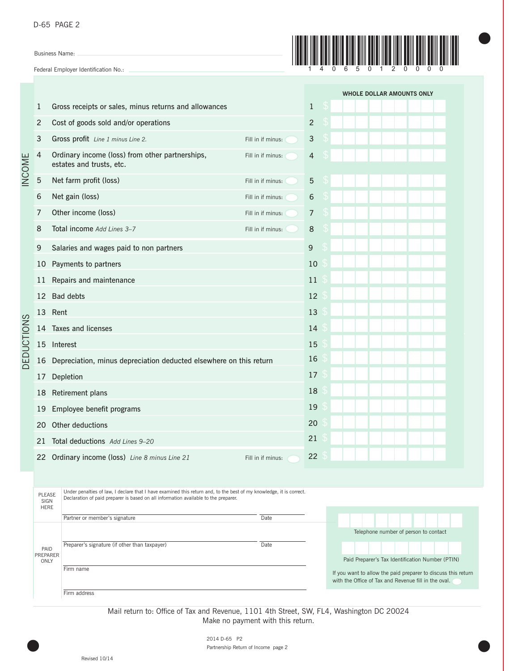| D-65 PAGE 2 |  |
|-------------|--|
|             |  |

Business Name:

Federal Employer Identification No.:



 $\bullet$ 

|                          |                                                                                                                                                                                                                                             |                                                                             |                   |                |   | <b>WHOLE DOLLAR AMOUNTS ONLY</b>                                                                                      |  |  |
|--------------------------|---------------------------------------------------------------------------------------------------------------------------------------------------------------------------------------------------------------------------------------------|-----------------------------------------------------------------------------|-------------------|----------------|---|-----------------------------------------------------------------------------------------------------------------------|--|--|
| <b>NCOME</b>             | 1                                                                                                                                                                                                                                           | Gross receipts or sales, minus returns and allowances                       |                   | $\mathbf{1}$   | S |                                                                                                                       |  |  |
|                          | 2                                                                                                                                                                                                                                           | Cost of goods sold and/or operations                                        |                   | $\overline{c}$ |   |                                                                                                                       |  |  |
|                          | 3                                                                                                                                                                                                                                           | Gross profit Line 1 minus Line 2.                                           | Fill in if minus: | 3              |   |                                                                                                                       |  |  |
|                          | 4                                                                                                                                                                                                                                           | Ordinary income (loss) from other partnerships,<br>estates and trusts, etc. | Fill in if minus: | 4              |   |                                                                                                                       |  |  |
|                          | 5                                                                                                                                                                                                                                           | Net farm profit (loss)                                                      | Fill in if minus: | 5              |   |                                                                                                                       |  |  |
|                          | 6                                                                                                                                                                                                                                           | Net gain (loss)                                                             | Fill in if minus: | 6              |   |                                                                                                                       |  |  |
|                          | 7                                                                                                                                                                                                                                           | Other income (loss)                                                         | Fill in if minus: | 7              |   |                                                                                                                       |  |  |
|                          | 8                                                                                                                                                                                                                                           | Total income Add Lines 3-7                                                  | Fill in if minus: | 8              |   |                                                                                                                       |  |  |
|                          | 9                                                                                                                                                                                                                                           | Salaries and wages paid to non partners                                     |                   | 9              |   |                                                                                                                       |  |  |
|                          | 10                                                                                                                                                                                                                                          | Payments to partners                                                        |                   | 10             |   |                                                                                                                       |  |  |
|                          | 11                                                                                                                                                                                                                                          | Repairs and maintenance                                                     |                   | 11             |   |                                                                                                                       |  |  |
|                          | 12                                                                                                                                                                                                                                          | <b>Bad debts</b>                                                            |                   | 12             |   |                                                                                                                       |  |  |
|                          |                                                                                                                                                                                                                                             | 13 Rent                                                                     |                   | 13             |   |                                                                                                                       |  |  |
| DEDUCTIONS               | 14                                                                                                                                                                                                                                          | <b>Taxes and licenses</b>                                                   |                   | 14             |   |                                                                                                                       |  |  |
|                          | 15                                                                                                                                                                                                                                          | Interest                                                                    |                   | 15             |   |                                                                                                                       |  |  |
|                          | 16                                                                                                                                                                                                                                          | Depreciation, minus depreciation deducted elsewhere on this return          |                   | 16             |   |                                                                                                                       |  |  |
|                          | 17                                                                                                                                                                                                                                          | Depletion                                                                   |                   | 17             |   |                                                                                                                       |  |  |
|                          | 18                                                                                                                                                                                                                                          | Retirement plans                                                            |                   | 18             |   |                                                                                                                       |  |  |
|                          | 19                                                                                                                                                                                                                                          | Employee benefit programs                                                   |                   | 19             |   |                                                                                                                       |  |  |
|                          | 20                                                                                                                                                                                                                                          | Other deductions                                                            |                   | 20             |   |                                                                                                                       |  |  |
|                          |                                                                                                                                                                                                                                             | 21 Total deductions Add Lines 9-20                                          |                   | 21             |   |                                                                                                                       |  |  |
|                          |                                                                                                                                                                                                                                             | 22 Ordinary income (loss) Line 8 minus Line 21                              | Fill in if minus: | 22             |   |                                                                                                                       |  |  |
|                          |                                                                                                                                                                                                                                             |                                                                             |                   |                |   |                                                                                                                       |  |  |
|                          | Under penalties of law, I declare that I have examined this return and, to the best of my knowledge, it is correct.<br>PLEASE<br>Declaration of paid preparer is based on all information available to the preparer.<br>SIGN<br><b>HERE</b> |                                                                             |                   |                |   |                                                                                                                       |  |  |
|                          |                                                                                                                                                                                                                                             | Partner or member's signature                                               | Date              |                |   |                                                                                                                       |  |  |
|                          |                                                                                                                                                                                                                                             |                                                                             |                   |                |   | Telephone number of person to contact                                                                                 |  |  |
| PAID<br>PREPARER<br>ONLY |                                                                                                                                                                                                                                             | Preparer's signature (if other than taxpayer)                               | Date              |                |   | Paid Preparer's Tax Identification Number (PTIN)                                                                      |  |  |
|                          |                                                                                                                                                                                                                                             | Firm name                                                                   |                   |                |   | If you want to allow the paid preparer to discuss this return<br>with the Office of Tax and Revenue fill in the oval. |  |  |
|                          |                                                                                                                                                                                                                                             | Firm address                                                                |                   |                |   |                                                                                                                       |  |  |

Mail return to: Office of Tax and Revenue, 1101 4th Street, SW, FL4, Washington DC 20024 Make no payment with this return.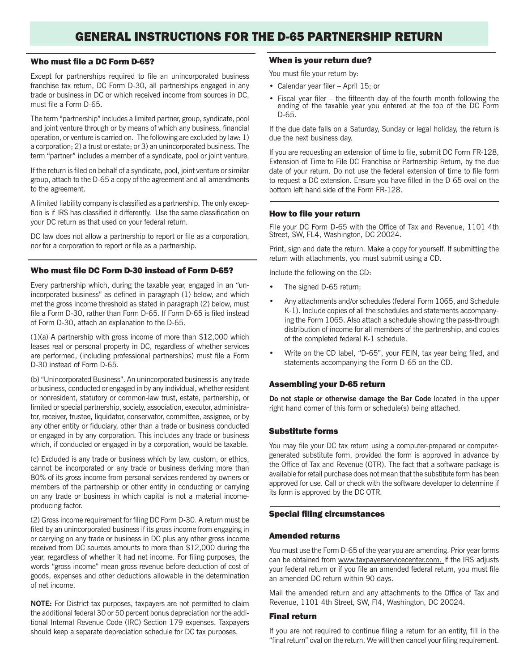# GENERAL INSTRUCTIONS FOR THE D-65 PARTNERSHIP RETURN

### Who must file a DC Form D-65?

Except for partnerships required to file an unincorporated business franchise tax return, DC Form D-30, all partnerships engaged in any trade or business in DC or which received income from sources in DC, must file a Form D-65.

The term "partnership" includes a limited partner, group, syndicate, pool and joint venture through or by means of which any business, financial operation, or venture is carried on. The following are excluded by law: 1) a corporation; 2) a trust or estate; or 3) an unincorporated business. The term "partner" includes a member of a syndicate, pool or joint venture.

If the return is filed on behalf of a syndicate, pool, joint venture or similar group, attach to the D-65 a copy of the agreement and all amendments to the agreement.

A limited liability company is classified as a partnership. The only exception is if IRS has classified it differently. Use the same classification on your DC return as that used on your federal return.

DC law does not allow a partnership to report or file as a corporation, nor for a corporation to report or file as a partnership.

#### Who must file DC Form D-30 instead of Form D-65?

Every partnership which, during the taxable year, engaged in an "unincorporated business" as defined in paragraph (1) below, and which met the gross income threshold as stated in paragraph (2) below, must file a Form D-30, rather than Form D-65. If Form D-65 is filed instead of Form D-30, attach an explanation to the D-65.

(1)(a) A partnership with gross income of more than \$12,000 which leases real or personal property in DC, regardless of whether services are performed, (including professional partnerships) must file a Form D-30 instead of Form D-65.

(b) "Unincorporated Business". An unincorporated business is any trade or business, conducted or engaged in by any individual, whether resident or nonresident, statutory or common-law trust, estate, partnership, or limited or special partnership, society, association, executor, administrator, receiver, trustee, liquidator, conservator, committee, assignee, or by any other entity or fiduciary, other than a trade or business conducted or engaged in by any corporation. This includes any trade or business which, if conducted or engaged in by a corporation, would be taxable.

(c) Excluded is any trade or business which by law, custom, or ethics, cannot be incorporated or any trade or business deriving more than 80% of its gross income from personal services rendered by owners or members of the partnership or other entity in conducting or carrying on any trade or business in which capital is not a material incomeproducing factor.

(2) Gross income requirement for filing DC Form D-30. A return must be filed by an unincorporated business if its gross income from engaging in or carrying on any trade or business in DC plus any other gross income received from DC sources amounts to more than \$12,000 during the year, regardless of whether it had net income. For filing purposes, the words "gross income" mean gross revenue before deduction of cost of goods, expenses and other deductions allowable in the determination of net income.

**NOTE:** For District tax purposes, taxpayers are not permitted to claim the additional federal 30 or 50 percent bonus depreciation nor the additional Internal Revenue Code (IRC) Section 179 expenses. Taxpayers should keep a separate depreciation schedule for DC tax purposes.

#### When is your return due?

You must file your return by:

- Calendar year filer April  $15$ ; or
- Fiscal year filer the fifteenth day of the fourth month following the ending of the taxable year you entered at the top of the DC Form D-65.

If the due date falls on a Saturday, Sunday or legal holiday, the return is due the next business day.

If you are requesting an extension of time to file, submit DC Form FR-128, Extension of Time to File DC Franchise or Partnership Return, by the due date of your return. Do not use the federal extension of time to file form to request a DC extension. Ensure you have filled in the D-65 oval on the bottom left hand side of the Form FR-128.

#### How to file your return

File your DC Form D-65 with the Office of Tax and Revenue, 1101 4th Street, SW, FL4, Washington, DC 20024.

Print, sign and date the return. Make a copy for yourself. If submitting the return with attachments, you must submit using a CD.

Include the following on the CD:

- The signed D-65 return;
- Any attachments and/or schedules (federal Form 1065, and Schedule K-1). Include copies of all the schedules and statements accompanying the Form 1065. Also attach a schedule showing the pass-through distribution of income for all members of the partnership, and copies of the completed federal K-1 schedule.
- Write on the CD label, "D-65", your FEIN, tax year being filed, and statements accompanying the Form D-65 on the CD.

#### Assembling your D-65 return

**Do not staple or otherwise damage the Bar Code** located in the upper right hand corner of this form or schedule(s) being attached.

#### Substitute forms

You may file your DC tax return using a computer-prepared or computergenerated substitute form, provided the form is approved in advance by the Office of Tax and Revenue (OTR). The fact that a software package is available for retail purchase does not mean that the substitute form has been approved for use. Call or check with the software developer to determine if its form is approved by the DC OTR.

#### **Special filing circumstances**

#### Amended returns

You must use the Form D-65 of the year you are amending. Prior year forms can be obtained from www.taxpayerservicecenter.com. If the IRS adjusts your federal return or if you file an amended federal return, you must file an amended DC return within 90 days.

Mail the amended return and any attachments to the Office of Tax and Revenue, 1101 4th Street, SW, Fl4, Washington, DC 20024.

#### Final return

If you are not required to continue filing a return for an entity, fill in the "final return" oval on the return. We will then cancel your filing requirement.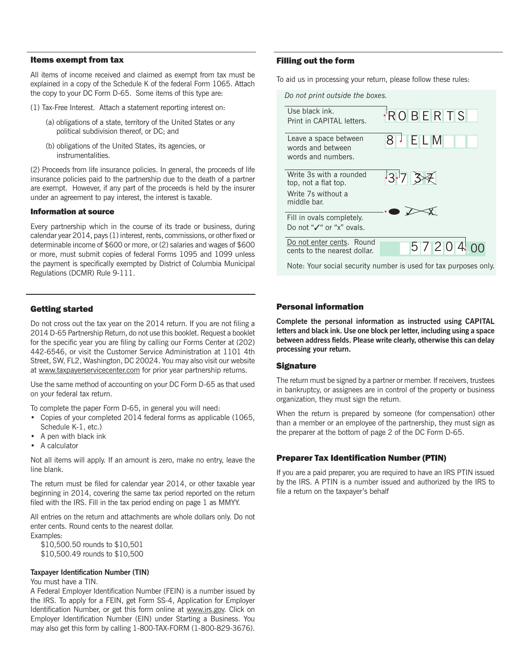#### Items exempt from tax

All items of income received and claimed as exempt from tax must be explained in a copy of the Schedule K of the federal Form 1065. Attach the copy to your DC Form D-65. Some items of this type are:

- (1) Tax-Free Interest. Attach a statement reporting interest on:
	- (a) obligations of a state, territory of the United States or any political subdivision thereof, or DC; and
	- (b) obligations of the United States, its agencies, or instrumentalities.

(2) Proceeds from life insurance policies. In general, the proceeds of life insurance policies paid to the partnership due to the death of a partner are exempt. However, if any part of the proceeds is held by the insurer under an agreement to pay interest, the interest is taxable.

#### Information at source

Every partnership which in the course of its trade or business, during calendar year 2014, pays (1) interest, rents, commissions, or other fixed or determinable income of \$600 or more, or (2) salaries and wages of \$600 or more, must submit copies of federal Forms 1095 and 1099 unless the payment is specifically exempted by District of Columbia Municipal Regulations (DCMR) Rule 9-111.

#### Getting started

Do not cross out the tax year on the 2014 return. If you are not filing a 2014 D-65 Partnership Return, do not use this booklet. Request a booklet for the specific year you are filing by calling our Forms Center at (202) 442-6546, or visit the Customer Service Administration at 1101 4th Street, SW, FL2, Washington, DC 20024. You may also visit our website at www.taxpayerservicecenter.com for prior year partnership returns.

Use the same method of accounting on your DC Form D-65 as that used on your federal tax return.

To complete the paper Form D-65, in general you will need:

- Copies of your completed 2014 federal forms as applicable (1065, Schedule K-1, etc.)
- A pen with black ink
- A calculator

Not all items will apply. If an amount is zero, make no entry, leave the line blank.

The return must be filed for calendar year 2014, or other taxable year beginning in 2014, covering the same tax period reported on the return filed with the IRS. Fill in the tax period ending on page 1 as MMYY.

All entries on the return and attachments are whole dollars only. Do not enter cents. Round cents to the nearest dollar. Examples:

 \$10,500.50 rounds to \$10,501 \$10,500.49 rounds to \$10,500

#### **Taxpayer Identification Number (TIN)**

#### You must have a TIN.

A Federal Employer Identification Number (FEIN) is a number issued by the IRS. To apply for a FEIN, get Form SS-4, Application for Employer Identification Number, or get this form online at www.irs.gov. Click on Employer Identification Number (EIN) under Starting a Business. You may also get this form by calling 1-800-TAX-FORM (1-800-829-3676).

#### Filling out the form

To aid us in processing your return, please follow these rules:



Note: Your social security number is used for tax purposes only.

#### Personal information

**Complete the personal information as instructed using CAPITAL letters and black ink. Use one block per letter, including using a space**  between address fields. Please write clearly, otherwise this can delay **processing your return.**

#### **Signature**

The return must be signed by a partner or member. If receivers, trustees in bankruptcy, or assignees are in control of the property or business organization, they must sign the return.

When the return is prepared by someone (for compensation) other than a member or an employee of the partnership, they must sign as the preparer at the bottom of page 2 of the DC Form D-65.

#### **Preparer Tax Identification Number (PTIN)**

If you are a paid preparer, you are required to have an IRS PTIN issued by the IRS. A PTIN is a number issued and authorized by the IRS to file a return on the taxpayer's behalf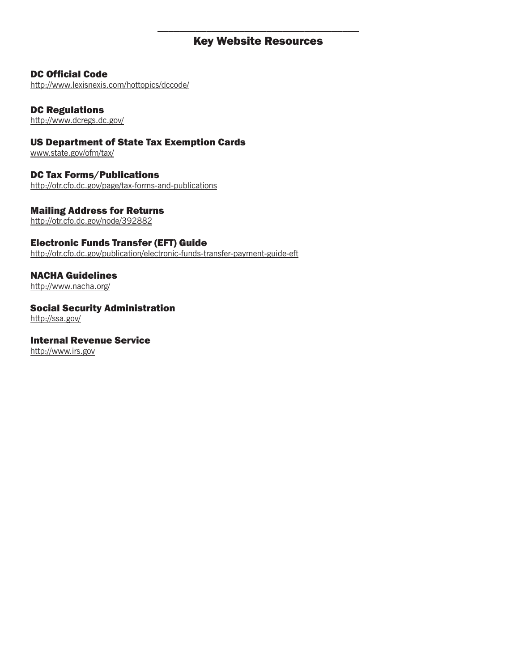# \_\_\_\_\_\_\_\_\_\_\_\_\_\_\_\_\_\_\_\_\_\_\_\_\_\_\_\_\_\_\_\_\_\_\_\_\_ Key Website Resources

# DC Official Code

http://www.lexisnexis.com/hottopics/dccode/

# DC Regulations

http://www.dcregs.dc.gov/

# US Department of State Tax Exemption Cards

www.state.gov/ofm/tax/

# DC Tax Forms/Publications

http://otr.cfo.dc.gov/page/tax-forms-and-publications

# Mailing Address for Returns

http://otr.cfo.dc.gov/node/392882

# Electronic Funds Transfer (EFT) Guide

http://otr.cfo.dc.gov/publication/electronic-funds-transfer-payment-guide-eft

# NACHA Guidelines

http://www.nacha.org/

# Social Security Administration

http://ssa.gov/

# Internal Revenue Service

http://www.irs.gov